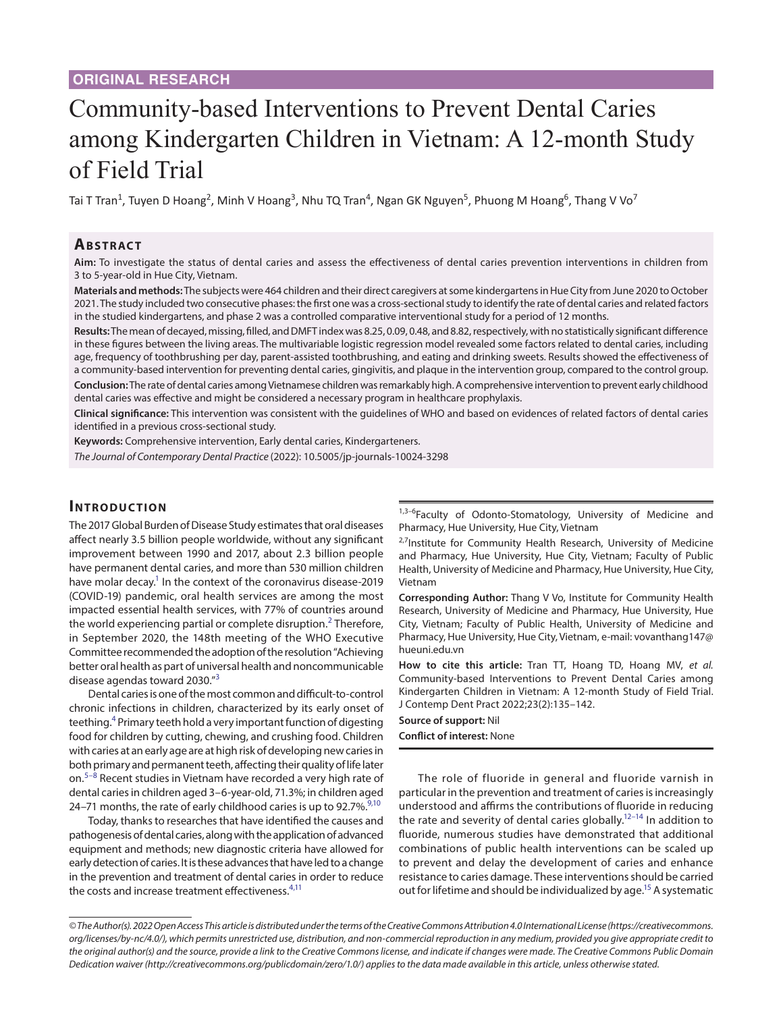# Community-based Interventions to Prevent Dental Caries among Kindergarten Children in Vietnam: A 12-month Study of Field Trial

Tai T Tran<sup>1</sup>, Tuyen D Hoang<sup>2</sup>, Minh V Hoang<sup>3</sup>, Nhu TQ Tran<sup>4</sup>, Ngan GK Nguyen<sup>5</sup>, Phuong M Hoang<sup>6</sup>, Thang V Vo<sup>7</sup>

## **Ab s t rac t**

**Aim:** To investigate the status of dental caries and assess the effectiveness of dental caries prevention interventions in children from 3 to 5-year-old in Hue City, Vietnam.

**Materials and methods:** The subjects were 464 children and their direct caregivers at some kindergartens in Hue City from June 2020 to October 2021. The study included two consecutive phases: the first one was a cross-sectional study to identify the rate of dental caries and related factors in the studied kindergartens, and phase 2 was a controlled comparative interventional study for a period of 12 months.

**Results:** The mean of decayed, missing, filled, and DMFT index was 8.25, 0.09, 0.48, and 8.82, respectively, with no statistically significant difference in these figures between the living areas. The multivariable logistic regression model revealed some factors related to dental caries, including age, frequency of toothbrushing per day, parent-assisted toothbrushing, and eating and drinking sweets. Results showed the effectiveness of a community-based intervention for preventing dental caries, gingivitis, and plaque in the intervention group, compared to the control group. **Conclusion:** The rate of dental caries among Vietnamese children was remarkably high. A comprehensive intervention to prevent early childhood dental caries was effective and might be considered a necessary program in healthcare prophylaxis.

**Clinical significance:** This intervention was consistent with the guidelines of WHO and based on evidences of related factors of dental caries identified in a previous cross-sectional study.

**Keywords:** Comprehensive intervention, Early dental caries, Kindergarteners.

*The Journal of Contemporary Dental Practice* (2022): 10.5005/jp-journals-10024-3298

## **INTRODUCTION**

The 2017 Global Burden of Disease Study estimates that oral diseases affect nearly 3.5 billion people worldwide, without any significant improvement between 1990 and 2017, about 2.3 billion people have permanent dental caries, and more than 530 million children have molar decay.<sup>1</sup> In the context of the coronavirus disease-2019 (COVID-19) pandemic, oral health services are among the most impacted essential health services, with 77% of countries around the world experiencing partial or complete disruption.<sup>[2](#page-5-1)</sup> Therefore, in September 2020, the 148th meeting of the WHO Executive Committee recommended the adoption of the resolution "Achieving better oral health as part of universal health and noncommunicable disease agendas toward 2030."[3](#page-5-2)

Dental caries is one of the most common and difficult-to-control chronic infections in children, characterized by its early onset of teething.<sup>[4](#page-5-3)</sup> Primary teeth hold a very important function of digesting food for children by cutting, chewing, and crushing food. Children with caries at an early age are at high risk of developing new caries in both primary and permanent teeth, affecting their quality of life later on.<sup>[5](#page-5-4)–[8](#page-6-0)</sup> Recent studies in Vietnam have recorded a very high rate of dental caries in children aged 3–6-year-old, 71.3%; in children aged 24–71 months, the rate of early childhood caries is up to 92.7%. $^{9,10}$  $^{9,10}$  $^{9,10}$ 

Today, thanks to researches that have identified the causes and pathogenesis of dental caries, along with the application of advanced equipment and methods; new diagnostic criteria have allowed for early detection of caries. It is these advances that have led to a change in the prevention and treatment of dental caries in order to reduce the costs and increase treatment effectiveness.<sup>4[,11](#page-6-3)</sup>

1,3-6Faculty of Odonto-Stomatology, University of Medicine and Pharmacy, Hue University, Hue City, Vietnam

<sup>2,7</sup>Institute for Community Health Research, University of Medicine and Pharmacy, Hue University, Hue City, Vietnam; Faculty of Public Health, University of Medicine and Pharmacy, Hue University, Hue City, Vietnam

**Corresponding Author:** Thang V Vo, Institute for Community Health Research, University of Medicine and Pharmacy, Hue University, Hue City, Vietnam; Faculty of Public Health, University of Medicine and Pharmacy, Hue University, Hue City, Vietnam, e-mail: vovanthang147@ hueuni.edu.vn

**How to cite this article:** Tran TT, Hoang TD, Hoang MV, *et al.*  Community-based Interventions to Prevent Dental Caries among Kindergarten Children in Vietnam: A 12-month Study of Field Trial. J Contemp Dent Pract 2022;23(2):135–142.

**Source of support:** Nil

**Conflict of interest:** None

The role of fluoride in general and fluoride varnish in particular in the prevention and treatment of caries is increasingly understood and affirms the contributions of fluoride in reducing the rate and severity of dental caries globally[.12](#page-6-4)[–14](#page-6-5) In addition to fluoride, numerous studies have demonstrated that additional combinations of public health interventions can be scaled up to prevent and delay the development of caries and enhance resistance to caries damage. These interventions should be carried out for lifetime and should be individualized by age.<sup>15</sup> A systematic

*<sup>©</sup> The Author(s). 2022 Open Access This article is distributed under the terms of the Creative Commons Attribution 4.0 International License ([https://creativecommons.](https://creativecommons. org/licenses/by-nc/4.0/) [org/licenses/by-nc/4.0/](https://creativecommons. org/licenses/by-nc/4.0/)), which permits unrestricted use, distribution, and non-commercial reproduction in any medium, provided you give appropriate credit to the original author(s) and the source, provide a link to the Creative Commons license, and indicate if changes were made. The Creative Commons Public Domain Dedication waiver ([http://creativecommons.org/publicdomain/zero/1.0/\)](http://creativecommons.org/publicdomain/zero/1.0/) applies to the data made available in this article, unless otherwise stated.*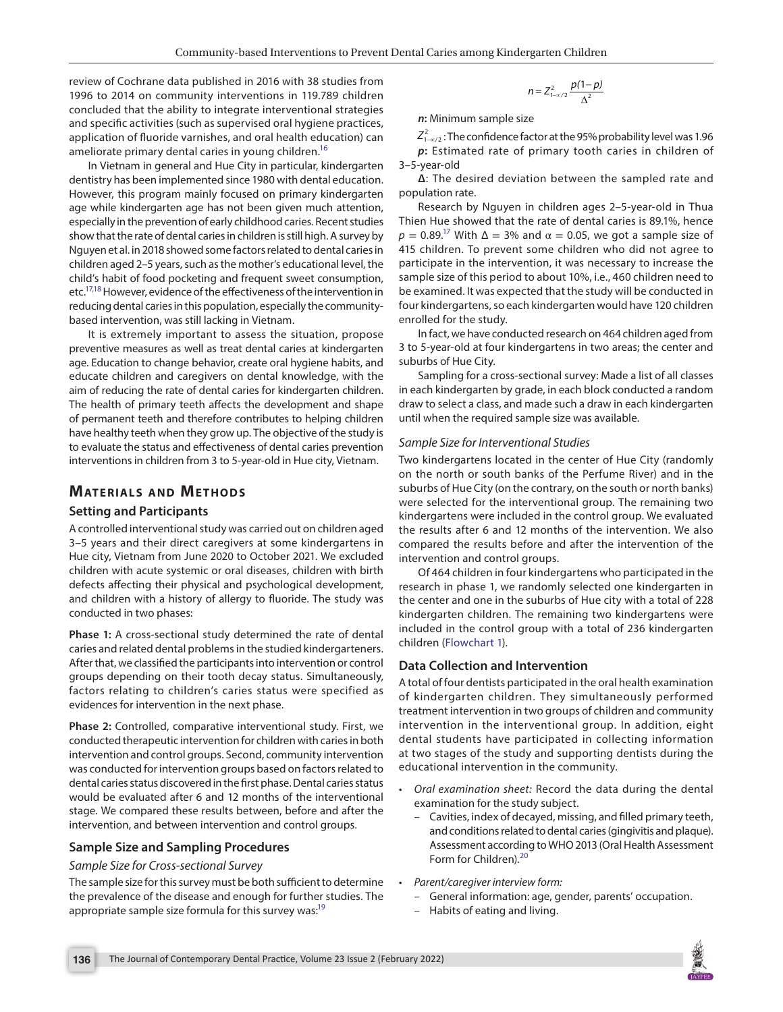review of Cochrane data published in 2016 with 38 studies from 1996 to 2014 on community interventions in 119.789 children concluded that the ability to integrate interventional strategies and specific activities (such as supervised oral hygiene practices, application of fluoride varnishes, and oral health education) can ameliorate primary dental caries in young children.<sup>16</sup>

In Vietnam in general and Hue City in particular, kindergarten dentistry has been implemented since 1980 with dental education. However, this program mainly focused on primary kindergarten age while kindergarten age has not been given much attention, especially in the prevention of early childhood caries. Recent studies show that the rate of dental caries in children is still high. A survey by Nguyen et al. in 2018 showed some factors related to dental caries in children aged 2–5 years, such as the mother's educational level, the child's habit of food pocketing and frequent sweet consumption, etc[.17](#page-6-8)[,18](#page-6-9) However, evidence of the effectiveness of the intervention in reducing dental caries in this population, especially the communitybased intervention, was still lacking in Vietnam.

It is extremely important to assess the situation, propose preventive measures as well as treat dental caries at kindergarten age. Education to change behavior, create oral hygiene habits, and educate children and caregivers on dental knowledge, with the aim of reducing the rate of dental caries for kindergarten children. The health of primary teeth affects the development and shape of permanent teeth and therefore contributes to helping children have healthy teeth when they grow up. The objective of the study is to evaluate the status and effectiveness of dental caries prevention interventions in children from 3 to 5-year-old in Hue city, Vietnam.

## **MATERIALS AND METHODS**

#### **Setting and Participants**

A controlled interventional study was carried out on children aged 3–5 years and their direct caregivers at some kindergartens in Hue city, Vietnam from June 2020 to October 2021. We excluded children with acute systemic or oral diseases, children with birth defects affecting their physical and psychological development, and children with a history of allergy to fluoride. The study was conducted in two phases:

**Phase 1:** A cross-sectional study determined the rate of dental caries and related dental problems in the studied kindergarteners. After that, we classified the participants into intervention or control groups depending on their tooth decay status. Simultaneously, factors relating to children's caries status were specified as evidences for intervention in the next phase.

**Phase 2:** Controlled, comparative interventional study. First, we conducted therapeutic intervention for children with caries in both intervention and control groups. Second, community intervention was conducted for intervention groups based on factors related to dental caries status discovered in the first phase. Dental caries status would be evaluated after 6 and 12 months of the interventional stage. We compared these results between, before and after the intervention, and between intervention and control groups.

#### **Sample Size and Sampling Procedures**

#### *Sample Size for Cross-sectional Survey*

The sample size for this survey must be both sufficient to determine the prevalence of the disease and enough for further studies. The appropriate sample size formula for this survey was:<sup>19</sup>

$$
n=Z_{1-\alpha/2}^2\frac{p(1-p)}{\Delta^2}
$$

*n***:** Minimum sample size

 $Z_{1-\alpha/2}^2$  : The confidence factor at the 95% probability level was 1.96 *p***:** Estimated rate of primary tooth caries in children of 3–5-year-old

**Δ**: The desired deviation between the sampled rate and population rate.

Research by Nguyen in children ages 2–5-year-old in Thua Thien Hue showed that the rate of dental caries is 89.1%, hence  $p = 0.89$ <sup>17</sup> With  $\Delta = 3\%$  and  $\alpha = 0.05$ , we got a sample size of 415 children. To prevent some children who did not agree to participate in the intervention, it was necessary to increase the sample size of this period to about 10%, i.e., 460 children need to be examined. It was expected that the study will be conducted in four kindergartens, so each kindergarten would have 120 children enrolled for the study.

In fact, we have conducted research on 464 children aged from 3 to 5-year-old at four kindergartens in two areas; the center and suburbs of Hue City.

Sampling for a cross-sectional survey: Made a list of all classes in each kindergarten by grade, in each block conducted a random draw to select a class, and made such a draw in each kindergarten until when the required sample size was available.

#### *Sample Size for Interventional Studies*

Two kindergartens located in the center of Hue City (randomly on the north or south banks of the Perfume River) and in the suburbs of Hue City (on the contrary, on the south or north banks) were selected for the interventional group. The remaining two kindergartens were included in the control group. We evaluated the results after 6 and 12 months of the intervention. We also compared the results before and after the intervention of the intervention and control groups.

Of 464 children in four kindergartens who participated in the research in phase 1, we randomly selected one kindergarten in the center and one in the suburbs of Hue city with a total of 228 kindergarten children. The remaining two kindergartens were included in the control group with a total of 236 kindergarten children [\(Flowchart 1\)](#page-2-0).

#### **Data Collection and Intervention**

A total of four dentists participated in the oral health examination of kindergarten children. They simultaneously performed treatment intervention in two groups of children and community intervention in the interventional group. In addition, eight dental students have participated in collecting information at two stages of the study and supporting dentists during the educational intervention in the community.

- *Oral examination sheet:* Record the data during the dental examination for the study subject.
	- Cavities, index of decayed, missing, and filled primary teeth, and conditions related to dental caries (gingivitis and plaque). Assessment according to WHO 2013 (Oral Health Assessment Form for Children).<sup>[20](#page-6-11)</sup>
- *Parent/caregiver interview form:*
	- General information: age, gender, parents' occupation.
	- Habits of eating and living.

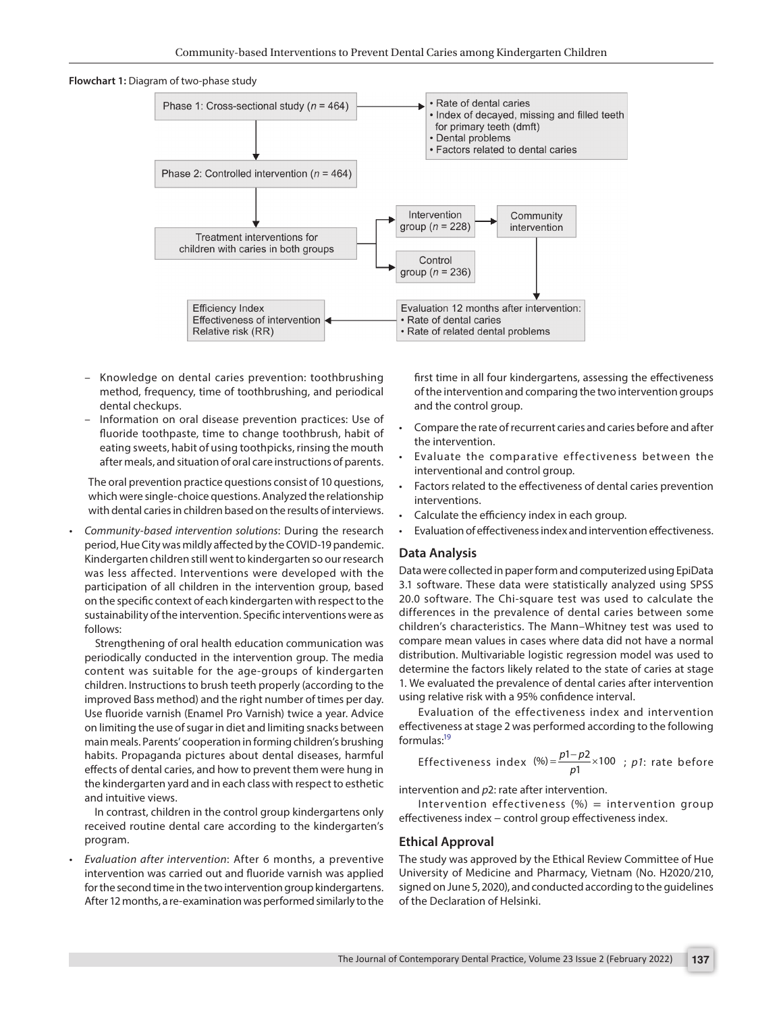<span id="page-2-0"></span>



- Knowledge on dental caries prevention: toothbrushing method, frequency, time of toothbrushing, and periodical dental checkups.
- Information on oral disease prevention practices: Use of fluoride toothpaste, time to change toothbrush, habit of eating sweets, habit of using toothpicks, rinsing the mouth after meals, and situation of oral care instructions of parents.

The oral prevention practice questions consist of 10 questions, which were single-choice questions. Analyzed the relationship with dental caries in children based on the results of interviews.

• *Community-based intervention solutions*: During the research period, Hue City was mildly affected by the COVID-19 pandemic. Kindergarten children still went to kindergarten so our research was less affected. Interventions were developed with the participation of all children in the intervention group, based on the specific context of each kindergarten with respect to the sustainability of the intervention. Specific interventions were as follows:

 Strengthening of oral health education communication was periodically conducted in the intervention group. The media content was suitable for the age-groups of kindergarten children. Instructions to brush teeth properly (according to the improved Bass method) and the right number of times per day. Use fluoride varnish (Enamel Pro Varnish) twice a year. Advice on limiting the use of sugar in diet and limiting snacks between main meals. Parents' cooperation in forming children's brushing habits. Propaganda pictures about dental diseases, harmful effects of dental caries, and how to prevent them were hung in the kindergarten yard and in each class with respect to esthetic and intuitive views.

 In contrast, children in the control group kindergartens only received routine dental care according to the kindergarten's program.

• *Evaluation after intervention*: After 6 months, a preventive intervention was carried out and fluoride varnish was applied for the second time in the two intervention group kindergartens. After 12 months, a re-examination was performed similarly to the

first time in all four kindergartens, assessing the effectiveness of the intervention and comparing the two intervention groups and the control group.

- Compare the rate of recurrent caries and caries before and after the intervention.
- Evaluate the comparative effectiveness between the interventional and control group.
- Factors related to the effectiveness of dental caries prevention interventions.
- Calculate the efficiency index in each group.
- Evaluation of effectiveness index and intervention effectiveness.

#### **Data Analysis**

Data were collected in paper form and computerized using EpiData 3.1 software. These data were statistically analyzed using SPSS 20.0 software. The Chi-square test was used to calculate the differences in the prevalence of dental caries between some children's characteristics. The Mann–Whitney test was used to compare mean values in cases where data did not have a normal distribution. Multivariable logistic regression model was used to determine the factors likely related to the state of caries at stage 1. We evaluated the prevalence of dental caries after intervention using relative risk with a 95% confidence interval.

Evaluation of the effectiveness index and intervention effectiveness at stage 2 was performed according to the following formulas[:19](#page-6-10)

Effectiveness index 
$$
(\%) = \frac{p1 - p2}{p1} \times 100
$$
; *p1*: rate before

intervention and *p*2: rate after intervention.

Intervention effectiveness  $(\%)$  = intervention group effectiveness index – control group effectiveness index.

#### **Ethical Approval**

The study was approved by the Ethical Review Committee of Hue University of Medicine and Pharmacy, Vietnam (No. H2020/210, signed on June 5, 2020), and conducted according to the guidelines of the Declaration of Helsinki.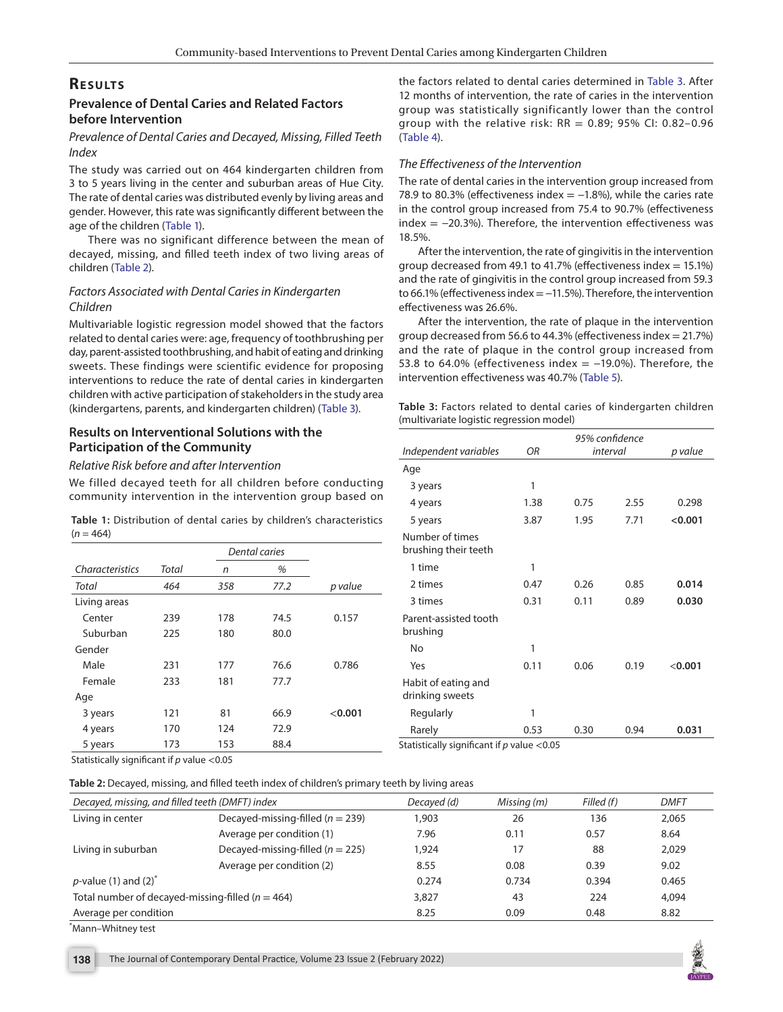## **RESULTS**

## **Prevalence of Dental Caries and Related Factors before Intervention**

## *Prevalence of Dental Caries and Decayed, Missing, Filled Teeth Index*

The study was carried out on 464 kindergarten children from 3 to 5 years living in the center and suburban areas of Hue City. The rate of dental caries was distributed evenly by living areas and gender. However, this rate was significantly different between the age of the children (Table 1).

There was no significant difference between the mean of decayed, missing, and filled teeth index of two living areas of children ([Table 2](#page-3-0)).

## *Factors Associated with Dental Caries in Kindergarten Children*

Multivariable logistic regression model showed that the factors related to dental caries were: age, frequency of toothbrushing per day, parent-assisted toothbrushing, and habit of eating and drinking sweets. These findings were scientific evidence for proposing interventions to reduce the rate of dental caries in kindergarten children with active participation of stakeholders in the study area (kindergartens, parents, and kindergarten children) (Table 3).

## **Results on Interventional Solutions with the Participation of the Community**

#### *Relative Risk before and after Intervention*

We filled decayed teeth for all children before conducting community intervention in the intervention group based on

|             |  |  |  | Table 1: Distribution of dental caries by children's characteristics |
|-------------|--|--|--|----------------------------------------------------------------------|
| $(n = 464)$ |  |  |  |                                                                      |

|                 |       | Dental caries |      |         |
|-----------------|-------|---------------|------|---------|
| Characteristics | Total | n             | %    |         |
| Total           | 464   | 358           | 77.2 | p value |
| Living areas    |       |               |      |         |
| Center          | 239   | 178           | 74.5 | 0.157   |
| Suburban        | 225   | 180           | 80.0 |         |
| Gender          |       |               |      |         |
| Male            | 231   | 177           | 76.6 | 0.786   |
| Female          | 233   | 181           | 77.7 |         |
| Age             |       |               |      |         |
| 3 years         | 121   | 81            | 66.9 | < 0.001 |
| 4 years         | 170   | 124           | 72.9 |         |
| 5 years         | 173   | 153           | 88.4 |         |

Statistically significant if *p* value <0.05

<span id="page-3-0"></span>**Table 2:** Decayed, missing, and filled teeth index of children's primary teeth by living areas

| Decayed, missing, and filled teeth (DMFT) index      |                                      | Decayed (d) | Missing (m) | Filled (f) | <b>DMFT</b> |
|------------------------------------------------------|--------------------------------------|-------------|-------------|------------|-------------|
| Living in center                                     | Decayed-missing-filled ( $n = 239$ ) | 1,903       | 26          | 136        | 2,065       |
|                                                      | Average per condition (1)            | 7.96        | 0.11        | 0.57       | 8.64        |
| Living in suburban                                   | Decayed-missing-filled ( $n = 225$ ) | 1.924       | 17          | 88         | 2.029       |
|                                                      | Average per condition (2)            | 8.55        | 0.08        | 0.39       | 9.02        |
| $p$ -value (1) and (2) <sup>*</sup>                  |                                      | 0.274       | 0.734       | 0.394      | 0.465       |
| Total number of decayed-missing-filled ( $n = 464$ ) |                                      | 3,827       | 43          | 224        | 4,094       |
| Average per condition                                |                                      | 8.25        | 0.09        | 0.48       | 8.82        |

<sup>\*</sup> Mann–Whitney test

the factors related to dental caries determined in Table 3. After 12 months of intervention, the rate of caries in the intervention group was statistically significantly lower than the control group with the relative risk:  $RR = 0.89$ ; 95% CI: 0.82-0.96 ([Table 4](#page-4-0)).

#### *The Effectiveness of the Intervention*

The rate of dental caries in the intervention group increased from 78.9 to 80.3% (effectiveness index  $= -1.8$ %), while the caries rate in the control group increased from 75.4 to 90.7% (effectiveness  $index = -20.3\%$ ). Therefore, the intervention effectiveness was 18.5%.

After the intervention, the rate of gingivitis in the intervention group decreased from 49.1 to 41.7% (effectiveness index  $= 15.1\%$ ) and the rate of gingivitis in the control group increased from 59.3 to 66.1% (effectiveness index = −11.5%). Therefore, the intervention effectiveness was 26.6%.

After the intervention, the rate of plaque in the intervention group decreased from 56.6 to 44.3% (effectiveness index = 21.7%) and the rate of plaque in the control group increased from 53.8 to 64.0% (effectiveness index =  $-19.0$ %). Therefore, the intervention effectiveness was 40.7% ([Table 5\)](#page-4-1).

|  |                                          |  |  | Table 3: Factors related to dental caries of kindergarten children |  |
|--|------------------------------------------|--|--|--------------------------------------------------------------------|--|
|  | (multivariate logistic regression model) |  |  |                                                                    |  |

| Independent variables                      | ΟR   |      | 95% confidence<br>interval | p value |
|--------------------------------------------|------|------|----------------------------|---------|
| Age                                        |      |      |                            |         |
| 3 years                                    | 1    |      |                            |         |
| 4 years                                    | 1.38 | 0.75 | 2.55                       | 0.298   |
| 5 years                                    | 3.87 | 1.95 | 7.71                       | < 0.001 |
| Number of times<br>brushing their teeth    |      |      |                            |         |
| 1 time                                     | 1    |      |                            |         |
| 2 times                                    | 0.47 | 0.26 | 0.85                       | 0.014   |
| 3 times                                    | 0.31 | 0.11 | 0.89                       | 0.030   |
| Parent-assisted tooth<br>brushing          |      |      |                            |         |
| No                                         | 1    |      |                            |         |
| Yes                                        | 0.11 | 0.06 | 0.19                       | < 0.001 |
| Habit of eating and<br>drinking sweets     |      |      |                            |         |
| Regularly                                  | 1    |      |                            |         |
| Rarely                                     | 0.53 | 0.30 | 0.94                       | 0.031   |
| Statistically significant if p value <0.05 |      |      |                            |         |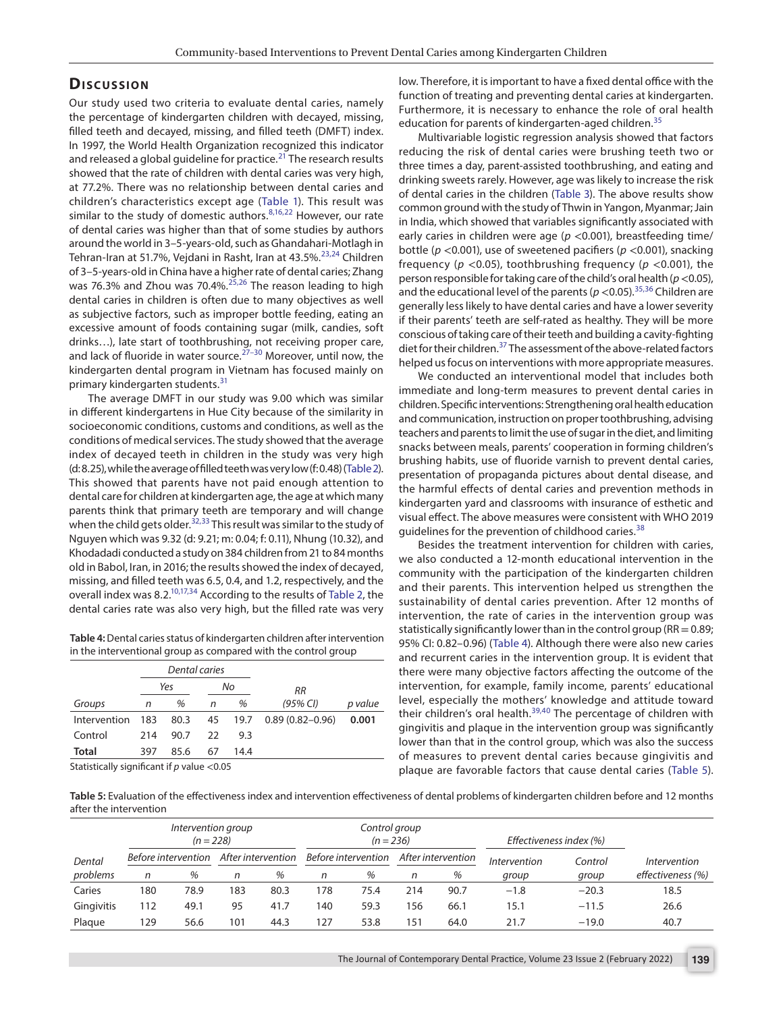## **Dis c u s sio n**

Our study used two criteria to evaluate dental caries, namely the percentage of kindergarten children with decayed, missing, filled teeth and decayed, missing, and filled teeth (DMFT) index. In 1997, the World Health Organization recognized this indicator and released a global quideline for practice.<sup>21</sup> The research results showed that the rate of children with dental caries was very high, at 77.2%. There was no relationship between dental caries and children's characteristics except age (Table 1). This result was similar to the study of domestic authors. $8,16,22$  $8,16,22$  $8,16,22$  However, our rate of dental caries was higher than that of some studies by authors around the world in 3–5-years-old, such as Ghandahari-Motlagh in Tehran-Iran at 51.7%, Vejdani in Rasht, Iran at 43.5%.<sup>[23,](#page-6-14)24</sup> Children of 3–5-years-old in China have a higher rate of dental caries; Zhang was 76.3% and Zhou was 70.4%. $25,26$  $25,26$  $25,26$  The reason leading to high dental caries in children is often due to many objectives as well as subjective factors, such as improper bottle feeding, eating an excessive amount of foods containing sugar (milk, candies, soft drinks…), late start of toothbrushing, not receiving proper care, and lack of fluoride in water source.<sup> $27-30$  $27-30$ </sup> Moreover, until now, the kindergarten dental program in Vietnam has focused mainly on primary kindergarten students.[31](#page-6-20)

The average DMFT in our study was 9.00 which was similar in different kindergartens in Hue City because of the similarity in socioeconomic conditions, customs and conditions, as well as the conditions of medical services. The study showed that the average index of decayed teeth in children in the study was very high (d: 8.25), while the average of filled teeth was very low (f: 0.48) [\(Table 2\)](#page-3-0). This showed that parents have not paid enough attention to dental care for children at kindergarten age, the age at which many parents think that primary teeth are temporary and will change when the child gets older.<sup>[32](#page-6-21),[33](#page-6-22)</sup> This result was similar to the study of Nguyen which was 9.32 (d: 9.21; m: 0.04; f: 0.11), Nhung (10.32), and Khodadadi conducted a study on 384 children from 21 to 84 months old in Babol, Iran, in 2016; the results showed the index of decayed, missing, and filled teeth was 6.5, 0.4, and 1.2, respectively, and the overall index was 8.2.<sup>10,[17](#page-6-8),34</sup> According to the results of [Table 2,](#page-3-0) the dental caries rate was also very high, but the filled rate was very

<span id="page-4-0"></span>**Table 4:** Dental caries status of kindergarten children after intervention in the interventional group as compared with the control group

|              |     | Dental caries |        |      |                     |         |
|--------------|-----|---------------|--------|------|---------------------|---------|
|              |     | Yes           |        | No   | <b>RR</b>           |         |
| Groups       | n   | %             | %<br>n |      | (95% CI)            | p value |
| Intervention | 183 | 80.3          | 45     | 19.7 | $0.89(0.82 - 0.96)$ | 0.001   |
| Control      | 214 | 90.7          | 22     | 9.3  |                     |         |
| Total        | 397 | 85.6          | 67     | 14.4 |                     |         |

Statistically significant if *p* value <0.05

low. Therefore, it is important to have a fixed dental office with the function of treating and preventing dental caries at kindergarten. Furthermore, it is necessary to enhance the role of oral health education for parents of kindergarten-aged children.<sup>[35](#page-6-24)</sup>

Multivariable logistic regression analysis showed that factors reducing the risk of dental caries were brushing teeth two or three times a day, parent-assisted toothbrushing, and eating and drinking sweets rarely. However, age was likely to increase the risk of dental caries in the children (Table 3). The above results show common ground with the study of Thwin in Yangon, Myanmar; Jain in India, which showed that variables significantly associated with early caries in children were age (*p* <0.001), breastfeeding time/ bottle (*p* <0.001), use of sweetened pacifiers (*p* <0.001), snacking frequency (*p* <0.05), toothbrushing frequency (*p* <0.001), the person responsible for taking care of the child's oral health (*p*<0.05), and the educational level of the parents ( $p < 0.05$ ).<sup>[35](#page-6-24),36</sup> Children are generally less likely to have dental caries and have a lower severity if their parents' teeth are self-rated as healthy. They will be more conscious of taking care of their teeth and building a cavity-fighting diet for their children.<sup>37</sup> The assessment of the above-related factors helped us focus on interventions with more appropriate measures.

We conducted an interventional model that includes both immediate and long-term measures to prevent dental caries in children. Specific interventions: Strengthening oral health education and communication, instruction on proper toothbrushing, advising teachers and parents to limit the use of sugar in the diet, and limiting snacks between meals, parents' cooperation in forming children's brushing habits, use of fluoride varnish to prevent dental caries, presentation of propaganda pictures about dental disease, and the harmful effects of dental caries and prevention methods in kindergarten yard and classrooms with insurance of esthetic and visual effect. The above measures were consistent with WHO 2019 guidelines for the prevention of childhood caries.<sup>[38](#page-6-27)</sup>

Besides the treatment intervention for children with caries, we also conducted a 12-month educational intervention in the community with the participation of the kindergarten children and their parents. This intervention helped us strengthen the sustainability of dental caries prevention. After 12 months of intervention, the rate of caries in the intervention group was statistically significantly lower than in the control group ( $RR = 0.89$ ; 95% CI: 0.82–0.96) ([Table 4\)](#page-4-0). Although there were also new caries and recurrent caries in the intervention group. It is evident that there were many objective factors affecting the outcome of the intervention, for example, family income, parents' educational level, especially the mothers' knowledge and attitude toward their children's oral health.[39](#page-6-28),[40](#page-6-29) The percentage of children with gingivitis and plaque in the intervention group was significantly lower than that in the control group, which was also the success of measures to prevent dental caries because gingivitis and plaque are favorable factors that cause dental caries [\(Table 5\)](#page-4-1).

<span id="page-4-1"></span>**Table 5:** Evaluation of the effectiveness index and intervention effectiveness of dental problems of kindergarten children before and 12 months after the intervention

|            | Intervention group<br>$(n = 228)$ |                                           |     |                     |     | Control group<br>$(n = 236)$ |     |              |         | Effectiveness index (%) |                   |  |
|------------|-----------------------------------|-------------------------------------------|-----|---------------------|-----|------------------------------|-----|--------------|---------|-------------------------|-------------------|--|
| Dental     |                                   | After intervention<br>Before intervention |     | Before intervention |     | After intervention           |     | Intervention | Control | Intervention            |                   |  |
| problems   | n                                 | %                                         | n   | %                   | n   | %                            | n   | %            | group   | group                   | effectiveness (%) |  |
| Caries     | 180                               | 78.9                                      | 183 | 80.3                | 178 | 75.4                         | 214 | 90.7         | $-1.8$  | $-20.3$                 | 18.5              |  |
| Gingivitis | 112                               | 49.1                                      | 95  | 41.7                | 140 | 59.3                         | 156 | 66.1         | 15.1    | $-11.5$                 | 26.6              |  |
| Plague     | 129                               | 56.6                                      | 101 | 44.3                | 127 | 53.8                         | 151 | 64.0         | 21.7    | $-19.0$                 | 40.7              |  |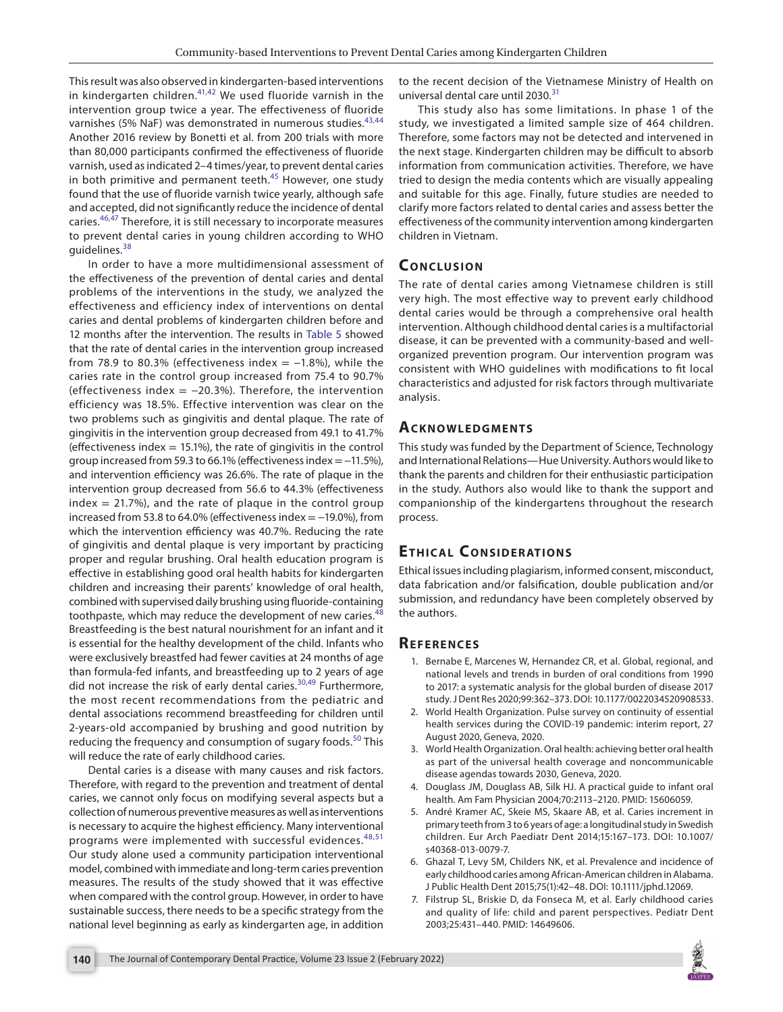This result was also observed in kindergarten-based interventions in kindergarten children.<sup>[41,](#page-6-30)42</sup> We used fluoride varnish in the intervention group twice a year. The effectiveness of fluoride varnishes (5% NaF) was demonstrated in numerous studies.<sup>[43,](#page-6-32)[44](#page-6-33)</sup> Another 2016 review by Bonetti et al. from 200 trials with more than 80,000 participants confirmed the effectiveness of fluoride varnish, used as indicated 2–4 times/year, to prevent dental caries in both primitive and permanent teeth. $45$  However, one study found that the use of fluoride varnish twice yearly, although safe and accepted, did not significantly reduce the incidence of dental caries.[46](#page-6-35)[,47](#page-7-0) Therefore, it is still necessary to incorporate measures to prevent dental caries in young children according to WHO quidelines. $38$ 

In order to have a more multidimensional assessment of the effectiveness of the prevention of dental caries and dental problems of the interventions in the study, we analyzed the effectiveness and efficiency index of interventions on dental caries and dental problems of kindergarten children before and 12 months after the intervention. The results in [Table 5](#page-4-1) showed that the rate of dental caries in the intervention group increased from 78.9 to 80.3% (effectiveness index =  $-1.8$ %), while the caries rate in the control group increased from 75.4 to 90.7% (effectiveness index  $= -20.3%$ ). Therefore, the intervention efficiency was 18.5%. Effective intervention was clear on the two problems such as gingivitis and dental plaque. The rate of gingivitis in the intervention group decreased from 49.1 to 41.7% (effectiveness index  $= 15.1\%$ ), the rate of gingivitis in the control group increased from 59.3 to 66.1% (effectiveness index = −11.5%), and intervention efficiency was 26.6%. The rate of plaque in the intervention group decreased from 56.6 to 44.3% (effectiveness  $index = 21.7\%)$ , and the rate of plaque in the control group increased from 53.8 to 64.0% (effectiveness index = −19.0%), from which the intervention efficiency was 40.7%. Reducing the rate of gingivitis and dental plaque is very important by practicing proper and regular brushing. Oral health education program is effective in establishing good oral health habits for kindergarten children and increasing their parents' knowledge of oral health, combined with supervised daily brushing using fluoride-containing toothpaste, which may reduce the development of new caries.<sup>[48](#page-7-1)</sup> Breastfeeding is the best natural nourishment for an infant and it is essential for the healthy development of the child. Infants who were exclusively breastfed had fewer cavities at 24 months of age than formula-fed infants, and breastfeeding up to 2 years of age did not increase the risk of early dental caries.<sup>[30](#page-6-19),[49](#page-7-2)</sup> Furthermore, the most recent recommendations from the pediatric and dental associations recommend breastfeeding for children until 2-years-old accompanied by brushing and good nutrition by reducing the frequency and consumption of sugary foods.<sup>50</sup> This will reduce the rate of early childhood caries.

Dental caries is a disease with many causes and risk factors. Therefore, with regard to the prevention and treatment of dental caries, we cannot only focus on modifying several aspects but a collection of numerous preventive measures as well as interventions is necessary to acquire the highest efficiency. Many interventional programs were implemented with successful evidences.<sup>[48,](#page-7-1)[51](#page-7-4)</sup> Our study alone used a community participation interventional model, combined with immediate and long-term caries prevention measures. The results of the study showed that it was effective when compared with the control group. However, in order to have sustainable success, there needs to be a specific strategy from the national level beginning as early as kindergarten age, in addition to the recent decision of the Vietnamese Ministry of Health on universal dental care until 2030.<sup>[31](#page-6-20)</sup>

This study also has some limitations. In phase 1 of the study, we investigated a limited sample size of 464 children. Therefore, some factors may not be detected and intervened in the next stage. Kindergarten children may be difficult to absorb information from communication activities. Therefore, we have tried to design the media contents which are visually appealing and suitable for this age. Finally, future studies are needed to clarify more factors related to dental caries and assess better the effectiveness of the community intervention among kindergarten children in Vietnam.

## **CONCLUSION**

The rate of dental caries among Vietnamese children is still very high. The most effective way to prevent early childhood dental caries would be through a comprehensive oral health intervention. Although childhood dental caries is a multifactorial disease, it can be prevented with a community-based and wellorganized prevention program. Our intervention program was consistent with WHO guidelines with modifications to fit local characteristics and adjusted for risk factors through multivariate analysis.

## **Ac k n ow l e d gme n ts**

This study was funded by the Department of Science, Technology and International Relations—Hue University. Authors would like to thank the parents and children for their enthusiastic participation in the study. Authors also would like to thank the support and companionship of the kindergartens throughout the research process.

# **ETHICAL CONSIDERATIONS**

Ethical issues including plagiarism, informed consent, misconduct, data fabrication and/or falsification, double publication and/or submission, and redundancy have been completely observed by the authors.

#### **REFERENCES**

- <span id="page-5-0"></span>1. Bernabe E, Marcenes W, Hernandez CR, et al. Global, regional, and national levels and trends in burden of oral conditions from 1990 to 2017: a systematic analysis for the global burden of disease 2017 study. J Dent Res 2020;99:362–373. DOI: 10.1177/0022034520908533.
- <span id="page-5-1"></span>2. World Health Organization. Pulse survey on continuity of essential health services during the COVID-19 pandemic: interim report, 27 August 2020, Geneva, 2020.
- <span id="page-5-2"></span>3. World Health Organization. Oral health: achieving better oral health as part of the universal health coverage and noncommunicable disease agendas towards 2030, Geneva, 2020.
- <span id="page-5-3"></span>4. Douglass JM, Douglass AB, Silk HJ. A practical guide to infant oral health. Am Fam Physician 2004;70:2113–2120. PMID: 15606059.
- <span id="page-5-4"></span>5. André Kramer AC, Skeie MS, Skaare AB, et al. Caries increment in primary teeth from 3 to 6 years of age: a longitudinal study in Swedish children. Eur Arch Paediatr Dent 2014;15:167–173. DOI: 10.1007/ s40368-013-0079-7.
- 6. Ghazal T, Levy SM, Childers NK, et al. Prevalence and incidence of early childhood caries among African-American children in Alabama. J Public Health Dent 2015;75(1):42–48. DOI: 10.1111/jphd.12069.
- 7. Filstrup SL, Briskie D, da Fonseca M, et al. Early childhood caries and quality of life: child and parent perspectives. Pediatr Dent 2003;25:431–440. PMID: 14649606.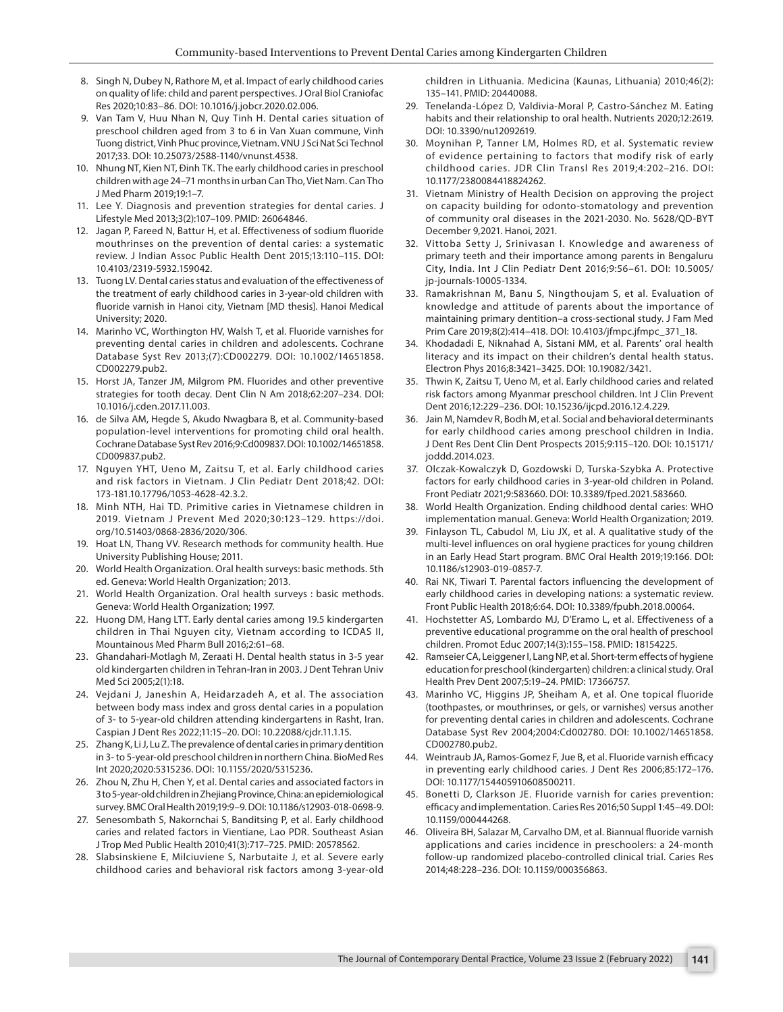- <span id="page-6-0"></span>8. Singh N, Dubey N, Rathore M, et al. Impact of early childhood caries on quality of life: child and parent perspectives. J Oral Biol Craniofac Res 2020;10:83–86. DOI: 10.1016/j.jobcr.2020.02.006.
- <span id="page-6-1"></span>9. Van Tam V, Huu Nhan N, Quy Tinh H. Dental caries situation of preschool children aged from 3 to 6 in Van Xuan commune, Vinh Tuong district, Vinh Phuc province, Vietnam. VNU J Sci Nat Sci Technol 2017;33. DOI: 10.25073/2588-1140/vnunst.4538.
- <span id="page-6-2"></span>10. Nhung NT, Kien NT, Đinh TK. The early childhood caries in preschool children with age 24–71 months in urban Can Tho, Viet Nam. Can Tho J Med Pharm 2019;19:1–7.
- <span id="page-6-3"></span>11. Lee Y. Diagnosis and prevention strategies for dental caries. J Lifestyle Med 2013;3(2):107–109. PMID: 26064846.
- <span id="page-6-4"></span>12. Jagan P, Fareed N, Battur H, et al. Effectiveness of sodium fluoride mouthrinses on the prevention of dental caries: a systematic review. J Indian Assoc Public Health Dent 2015;13:110–115. DOI: 10.4103/2319-5932.159042.
- 13. Tuong LV. Dental caries status and evaluation of the effectiveness of the treatment of early childhood caries in 3-year-old children with fluoride varnish in Hanoi city, Vietnam [MD thesis]. Hanoi Medical University; 2020.
- <span id="page-6-5"></span>14. Marinho VC, Worthington HV, Walsh T, et al. Fluoride varnishes for preventing dental caries in children and adolescents. Cochrane Database Syst Rev 2013;(7):CD002279. DOI: 10.1002/14651858. CD002279.pub2.
- <span id="page-6-6"></span>15. Horst JA, Tanzer JM, Milgrom PM. Fluorides and other preventive strategies for tooth decay. Dent Clin N Am 2018;62:207–234. DOI: 10.1016/j.cden.2017.11.003.
- <span id="page-6-7"></span>16. de Silva AM, Hegde S, Akudo Nwagbara B, et al. Community-based population-level interventions for promoting child oral health. Cochrane Database Syst Rev 2016;9:Cd009837. DOI: 10.1002/14651858. CD009837.pub2.
- <span id="page-6-8"></span>17. Nguyen YHT, Ueno M, Zaitsu T, et al. Early childhood caries and risk factors in Vietnam. J Clin Pediatr Dent 2018;42. DOI: 173-181.10.17796/1053-4628-42.3.2.
- <span id="page-6-9"></span>18. Minh NTH, Hai TD. Primitive caries in Vietnamese children in 2019. Vietnam J Prevent Med 2020;30:123–129. https://doi. org/10.51403/0868-2836/2020/306.
- <span id="page-6-10"></span>19. Hoat LN, Thang VV. Research methods for community health. Hue University Publishing House; 2011.
- <span id="page-6-11"></span>20. World Health Organization. Oral health surveys: basic methods. 5th ed. Geneva: World Health Organization; 2013.
- <span id="page-6-12"></span>21. World Health Organization. Oral health surveys : basic methods. Geneva: World Health Organization; 1997.
- <span id="page-6-13"></span>22. Huong DM, Hang LTT. Early dental caries among 19.5 kindergarten children in Thai Nguyen city, Vietnam according to ICDAS II, Mountainous Med Pharm Bull 2016;2:61–68.
- <span id="page-6-14"></span>23. Ghandahari-Motlagh M, Zeraati H. Dental health status in 3-5 year old kindergarten children in Tehran-Iran in 2003. J Dent Tehran Univ Med Sci 2005;2(1):18.
- <span id="page-6-15"></span>24. Vejdani J, Janeshin A, Heidarzadeh A, et al. The association between body mass index and gross dental caries in a population of 3- to 5-year-old children attending kindergartens in Rasht, Iran. Caspian J Dent Res 2022;11:15–20. DOI: 10.22088/cjdr.11.1.15.
- <span id="page-6-16"></span>25. Zhang K, Li J, Lu Z. The prevalence of dental caries in primary dentition in 3- to 5-year-old preschool children in northern China. BioMed Res Int 2020;2020:5315236. DOI: 10.1155/2020/5315236.
- <span id="page-6-17"></span>26. Zhou N, Zhu H, Chen Y, et al. Dental caries and associated factors in 3 to 5-year-old children in Zhejiang Province, China: an epidemiological survey. BMC Oral Health 2019;19:9–9. DOI: 10.1186/s12903-018-0698-9.
- <span id="page-6-18"></span>27. Senesombath S, Nakornchai S, Banditsing P, et al. Early childhood caries and related factors in Vientiane, Lao PDR. Southeast Asian J Trop Med Public Health 2010;41(3):717–725. PMID: 20578562.
- 28. Slabsinskiene E, Milciuviene S, Narbutaite J, et al. Severe early childhood caries and behavioral risk factors among 3-year-old

children in Lithuania. Medicina (Kaunas, Lithuania) 2010;46(2): 135–141. PMID: 20440088.

- 29. Tenelanda-López D, Valdivia-Moral P, Castro-Sánchez M. Eating habits and their relationship to oral health. Nutrients 2020;12:2619. DOI: 10.3390/nu12092619.
- <span id="page-6-19"></span>30. Moynihan P, Tanner LM, Holmes RD, et al. Systematic review of evidence pertaining to factors that modify risk of early childhood caries. JDR Clin Transl Res 2019;4:202–216. DOI: 10.1177/2380084418824262.
- <span id="page-6-20"></span>31. Vietnam Ministry of Health Decision on approving the project on capacity building for odonto-stomatology and prevention of community oral diseases in the 2021-2030. No. 5628/QD-BYT December 9,2021. Hanoi, 2021.
- <span id="page-6-21"></span>32. Vittoba Setty J, Srinivasan I. Knowledge and awareness of primary teeth and their importance among parents in Bengaluru City, India. Int J Clin Pediatr Dent 2016;9:56–61. DOI: 10.5005/ jp-journals-10005-1334.
- <span id="page-6-22"></span>33. Ramakrishnan M, Banu S, Ningthoujam S, et al. Evaluation of knowledge and attitude of parents about the importance of maintaining primary dentition–a cross-sectional study. J Fam Med Prim Care 2019;8(2):414–418. DOI: 10.4103/jfmpc.jfmpc\_371\_18.
- <span id="page-6-23"></span>34. Khodadadi E, Niknahad A, Sistani MM, et al. Parents' oral health literacy and its impact on their children's dental health status. Electron Phys 2016;8:3421–3425. DOI: 10.19082/3421.
- <span id="page-6-24"></span>35. Thwin K, Zaitsu T, Ueno M, et al. Early childhood caries and related risk factors among Myanmar preschool children. Int J Clin Prevent Dent 2016;12:229–236. DOI: 10.15236/ijcpd.2016.12.4.229.
- <span id="page-6-25"></span>36. Jain M, Namdev R, Bodh M, et al. Social and behavioral determinants for early childhood caries among preschool children in India. J Dent Res Dent Clin Dent Prospects 2015;9:115–120. DOI: 10.15171/ joddd.2014.023.
- <span id="page-6-26"></span>37. Olczak-Kowalczyk D, Gozdowski D, Turska-Szybka A. Protective factors for early childhood caries in 3-year-old children in Poland. Front Pediatr 2021;9:583660. DOI: 10.3389/fped.2021.583660.
- <span id="page-6-27"></span>38. World Health Organization. Ending childhood dental caries: WHO implementation manual. Geneva: World Health Organization; 2019.
- <span id="page-6-28"></span>39. Finlayson TL, Cabudol M, Liu JX, et al. A qualitative study of the multi-level influences on oral hygiene practices for young children in an Early Head Start program. BMC Oral Health 2019;19:166. DOI: 10.1186/s12903-019-0857-7.
- <span id="page-6-29"></span>40. Rai NK, Tiwari T. Parental factors influencing the development of early childhood caries in developing nations: a systematic review. Front Public Health 2018;6:64. DOI: 10.3389/fpubh.2018.00064.
- <span id="page-6-30"></span>41. Hochstetter AS, Lombardo MJ, D'Eramo L, et al. Effectiveness of a preventive educational programme on the oral health of preschool children. Promot Educ 2007;14(3):155–158. PMID: 18154225.
- <span id="page-6-31"></span>42. Ramseier CA, Leiggener I, Lang NP, et al. Short-term effects of hygiene education for preschool (kindergarten) children: a clinical study. Oral Health Prev Dent 2007;5:19–24. PMID: 17366757.
- <span id="page-6-32"></span>43. Marinho VC, Higgins JP, Sheiham A, et al. One topical fluoride (toothpastes, or mouthrinses, or gels, or varnishes) versus another for preventing dental caries in children and adolescents. Cochrane Database Syst Rev 2004;2004:Cd002780. DOI: 10.1002/14651858. CD002780.pub2.
- <span id="page-6-33"></span>44. Weintraub JA, Ramos-Gomez F, Jue B, et al. Fluoride varnish efficacy in preventing early childhood caries. J Dent Res 2006;85:172–176. DOI: 10.1177/154405910608500211.
- <span id="page-6-34"></span>45. Bonetti D, Clarkson JE. Fluoride varnish for caries prevention: efficacy and implementation. Caries Res 2016;50 Suppl 1:45–49. DOI: 10.1159/000444268.
- <span id="page-6-35"></span>46. Oliveira BH, Salazar M, Carvalho DM, et al. Biannual fluoride varnish applications and caries incidence in preschoolers: a 24-month follow-up randomized placebo-controlled clinical trial. Caries Res 2014;48:228–236. DOI: 10.1159/000356863.